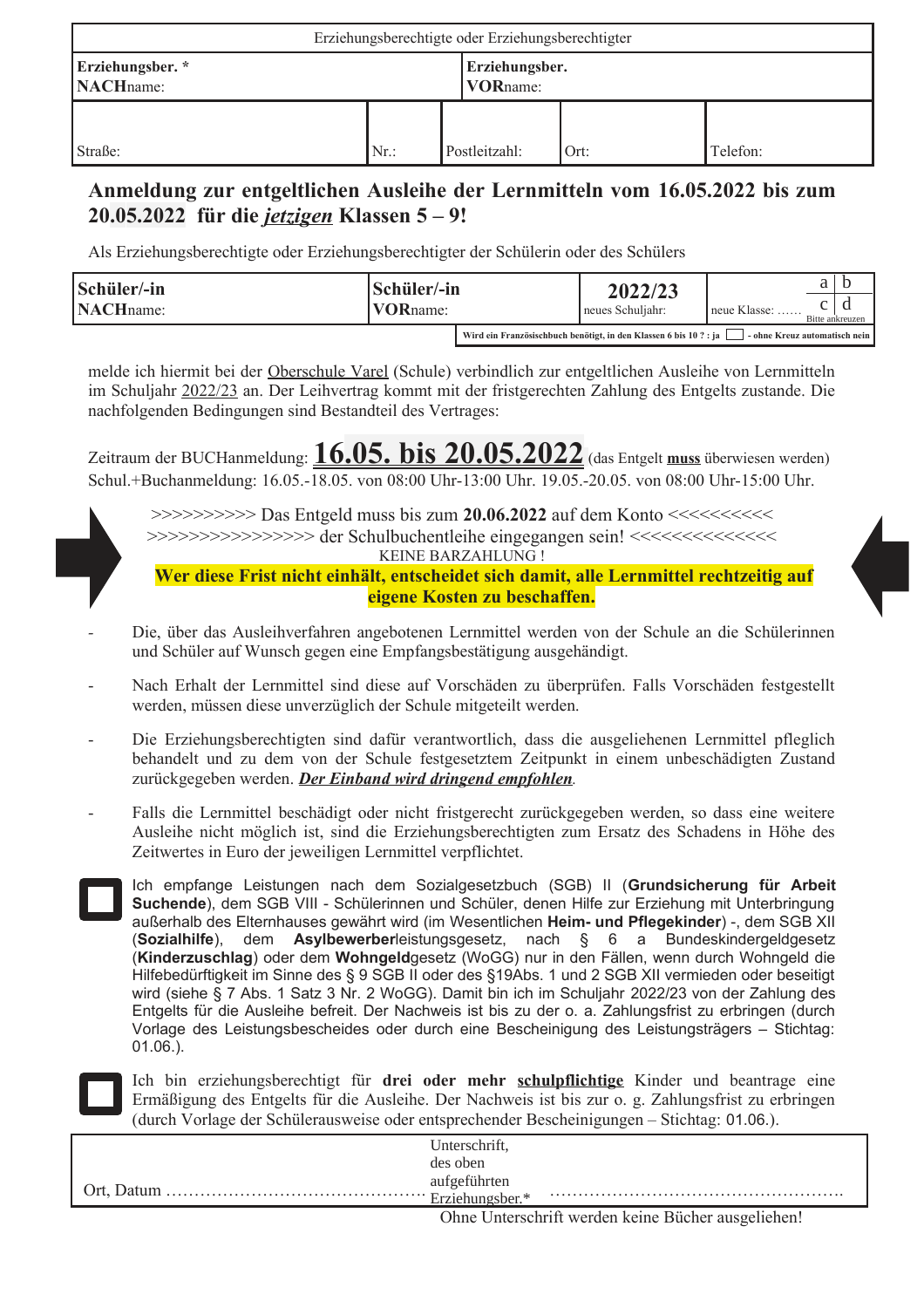| Erziehungsberechtigte oder Erziehungsberechtigter |        |                                    |               |      |          |
|---------------------------------------------------|--------|------------------------------------|---------------|------|----------|
| Erziehungsber.*<br><b>NACH</b> name:              |        | Erziehungsber.<br><b>VOR</b> name: |               |      |          |
| Straße:                                           | $Nr$ : |                                    | Postleitzahl: | Ort: | Telefon: |

## Anmeldung zur entgeltlichen Ausleihe der Lernmitteln vom 16.05.2022 bis zum  $20.05.2022$  für die *jetzigen* Klassen  $5 - 9!$

Als Erziehungsberechtigte oder Erziehungsberechtigter der Schülerin oder des Schülers

| Schüler/-in<br><b>NACH</b> name: | Schüler/-in<br><b>VOR</b> name: |  | 2022/23<br>neues Schuljahr:                                      | $neue Klasse: \ldots$ .       | Bitte ankreuzen |  |
|----------------------------------|---------------------------------|--|------------------------------------------------------------------|-------------------------------|-----------------|--|
|                                  |                                 |  | Wird ein Französischbuch benötigt, in den Klassen 6 bis 10 ?: ja | - ohne Kreuz automatisch nein |                 |  |

melde ich hiermit bei der Oberschule Varel (Schule) verbindlich zur entgeltlichen Ausleihe von Lernmitteln im Schuljahr 2022/23 an. Der Leihvertrag kommt mit der fristgerechten Zahlung des Entgelts zustande. Die nachfolgenden Bedingungen sind Bestandteil des Vertrages:

Zeitraum der BUCHanmeldung:  $16.05. \text{ bis } 20.05.2022$  (das Entgelt muss überwiesen werden) Schul.+Buchanmeldung: 16.05.-18.05. von 08:00 Uhr-13:00 Uhr. 19.05.-20.05. von 08:00 Uhr-15:00 Uhr.



KEINE BARZAHLUNG! Wer diese Frist nicht einhält, entscheidet sich damit, alle Lernmittel rechtzeitig auf

eigene Kosten zu beschaffen.

- Die, über das Ausleihverfahren angebotenen Lernmittel werden von der Schule an die Schülerinnen und Schüler auf Wunsch gegen eine Empfangsbestätigung ausgehändigt.
- Nach Erhalt der Lernmittel sind diese auf Vorschäden zu überprüfen. Falls Vorschäden festgestellt werden, müssen diese unverzüglich der Schule mitgeteilt werden.
- Die Erziehungsberechtigten sind dafür verantwortlich, dass die ausgeliehenen Lernmittel pfleglich behandelt und zu dem von der Schule festgesetztem Zeitpunkt in einem unbeschädigten Zustand zurückgegeben werden. Der Einband wird dringend empfohlen.
- Falls die Lernmittel beschädigt oder nicht fristgerecht zurückgegeben werden, so dass eine weitere Ausleihe nicht möglich ist, sind die Erziehungsberechtigten zum Ersatz des Schadens in Höhe des Zeitwertes in Euro der jeweiligen Lernmittel verpflichtet.



Ich empfange Leistungen nach dem Sozialgesetzbuch (SGB) II (Grundsicherung für Arbeit Suchende), dem SGB VIII - Schülerinnen und Schüler, denen Hilfe zur Erziehung mit Unterbringung außerhalb des Elternhauses gewährt wird (im Wesentlichen Heim- und Pflegekinder) -, dem SGB XII (Sozialhilfe), dem Asylbewerberleistungsgesetz, nach § 6 a Bundeskindergeldgesetz (Kinderzuschlag) oder dem Wohngeldgesetz (WoGG) nur in den Fällen, wenn durch Wohngeld die Hilfebedürftigkeit im Sinne des § 9 SGB II oder des §19Abs. 1 und 2 SGB XII vermieden oder beseitigt wird (siehe § 7 Abs. 1 Satz 3 Nr. 2 WoGG). Damit bin ich im Schuljahr 2022/23 von der Zahlung des Entgelts für die Ausleihe befreit. Der Nachweis ist bis zu der o. a. Zahlungsfrist zu erbringen (durch Vorlage des Leistungsbescheides oder durch eine Bescheinigung des Leistungsträgers – Stichtag:  $01.06.$ ).

Ich bin erziehungsberechtigt für drei oder mehr schulpflichtige Kinder und beantrage eine Ermäßigung des Entgelts für die Ausleihe. Der Nachweis ist bis zur o. g. Zahlungsfrist zu erbringen (durch Vorlage der Schülerausweise oder entsprechender Bescheinigungen – Stichtag: 01.06.).

| Unterschrift,                                            |  |
|----------------------------------------------------------|--|
| des oben                                                 |  |
| aufgeführten                                             |  |
| Erziehungsber.*                                          |  |
| $\cdot$ $\alpha$<br><b>TT</b><br>$T \cdot 1$<br>$\sim$ 1 |  |

Ohne Unterschrift werden keine Bücher ausgeliehen!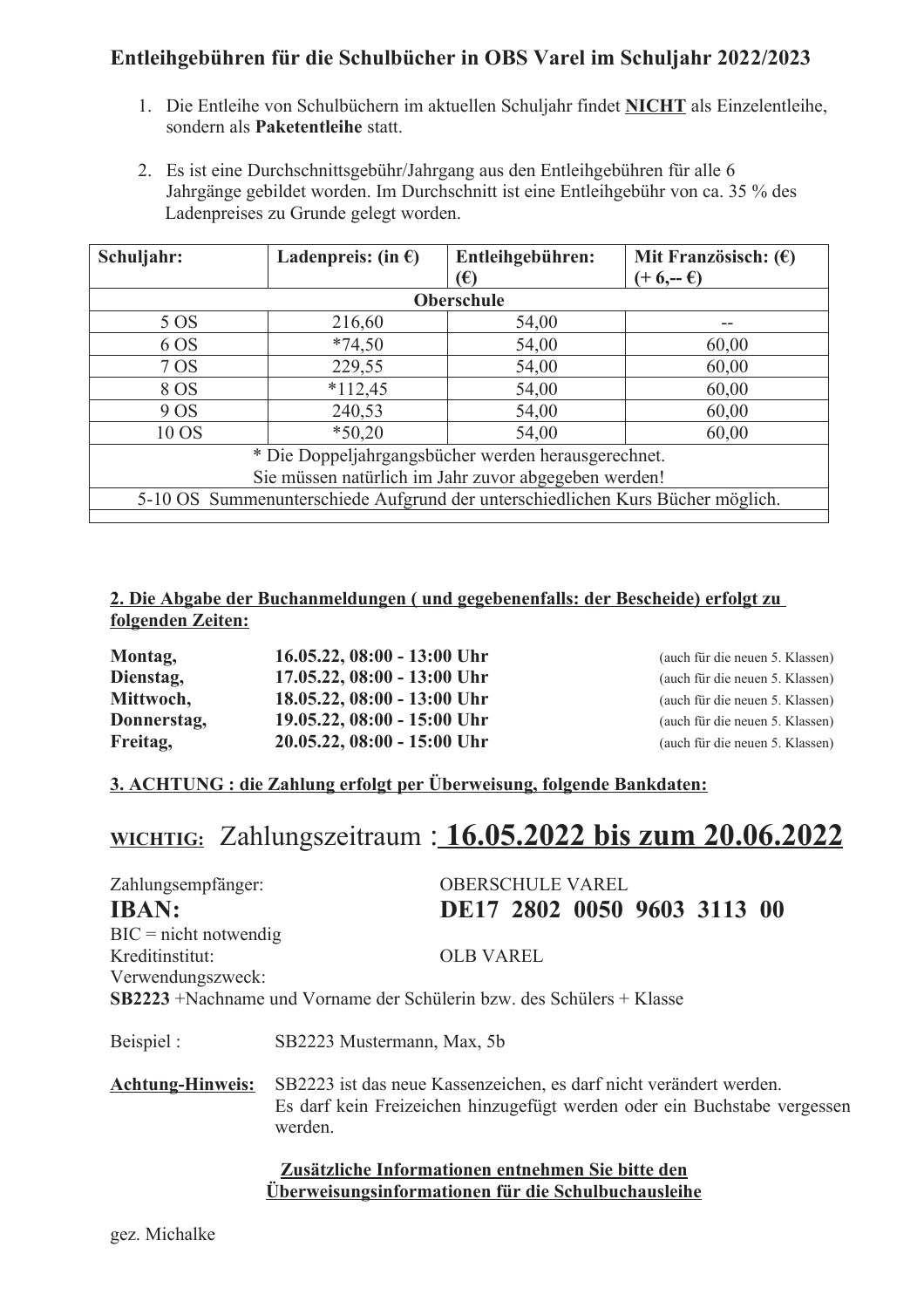# Entleihgebühren für die Schulbücher in OBS Varel im Schuljahr 2022/2023

- 1. Die Entleihe von Schulbüchern im aktuellen Schuljahr findet NICHT als Einzelentleihe, sondern als Paketentleihe statt.
- 2. Es ist eine Durchschnittsgebühr/Jahrgang aus den Entleihgebühren für alle 6 Jahrgänge gebildet worden. Im Durchschnitt ist eine Entleihgebühr von ca. 35 % des Ladenpreises zu Grunde gelegt worden.

| Schuljahr:                                                                     | Ladenpreis: (in $\epsilon$ ) | Entleihgebühren: | Mit Französisch: $(\epsilon)$ |  |  |
|--------------------------------------------------------------------------------|------------------------------|------------------|-------------------------------|--|--|
|                                                                                |                              | (€)              | $(+ 6,- 6)$                   |  |  |
|                                                                                |                              | Oberschule       |                               |  |  |
| 5 OS                                                                           | 216,60                       | 54,00            |                               |  |  |
| 6 OS                                                                           | $*74,50$                     | 54,00            | 60,00                         |  |  |
| 7 OS                                                                           | 229,55                       | 54,00            | 60,00                         |  |  |
| 8 OS                                                                           | $*112,45$                    | 54,00            | 60,00                         |  |  |
| 240,53<br>54,00<br>9 OS<br>60,00                                               |                              |                  |                               |  |  |
| 10 OS                                                                          | $*50,20$                     | 54,00            | 60,00                         |  |  |
| * Die Doppeljahrgangsbücher werden herausgerechnet.                            |                              |                  |                               |  |  |
| Sie müssen natürlich im Jahr zuvor abgegeben werden!                           |                              |                  |                               |  |  |
| 5-10 OS Summenunterschiede Aufgrund der unterschiedlichen Kurs Bücher möglich. |                              |                  |                               |  |  |

#### 2. Die Abgabe der Buchanmeldungen ( und gegebenenfalls: der Bescheide) erfolgt zu folgenden Zeiten:

| Montag,     | 16.05.22, 08:00 - 13:00 Uhr |
|-------------|-----------------------------|
| Dienstag,   | 17.05.22, 08:00 - 13:00 Uhr |
| Mittwoch,   | 18.05.22, 08:00 - 13:00 Uhr |
| Donnerstag, | 19.05.22, 08:00 - 15:00 Uhr |
| Freitag,    | 20.05.22, 08:00 - 15:00 Uhr |

(auch für die neuen 5. Klassen) (auch für die neuen 5. Klassen) (auch für die neuen 5. Klassen) (auch für die neuen 5. Klassen) (auch für die neuen 5. Klassen)

#### 3. ACHTUNG : die Zahlung erfolgt per Überweisung, folgende Bankdaten:

# **WICHTIG:** Zahlungszeitraum : 16.05.2022 bis zum 20.06.2022

| Zahlungsempfänger:                                                                                                                                                                   | <b>OBERSCHULE VAREL</b>                                                                                         |  |  |
|--------------------------------------------------------------------------------------------------------------------------------------------------------------------------------------|-----------------------------------------------------------------------------------------------------------------|--|--|
| <b>IBAN:</b>                                                                                                                                                                         | DE17 2802 0050 9603 3113 00                                                                                     |  |  |
| $BIC = nicht notwendig$                                                                                                                                                              |                                                                                                                 |  |  |
| Kreditinstitut:                                                                                                                                                                      | <b>OLB VAREL</b>                                                                                                |  |  |
| Verwendungszweck:                                                                                                                                                                    |                                                                                                                 |  |  |
|                                                                                                                                                                                      | <b>SB2223</b> +Nachname und Vorname der Schülerin bzw. des Schülers + Klasse                                    |  |  |
| Beispiel :                                                                                                                                                                           | SB2223 Mustermann, Max, 5b                                                                                      |  |  |
| SB2223 ist das neue Kassenzeichen, es darf nicht verändert werden.<br><b>Achtung-Hinweis:</b><br>Es darf kein Freizeichen hinzugefügt werden oder ein Buchstabe vergessen<br>werden. |                                                                                                                 |  |  |
|                                                                                                                                                                                      | Zusätzliche Informationen entnehmen Sie bitte den<br><u>Überweisungsinformationen für die Schulbuchausleihe</u> |  |  |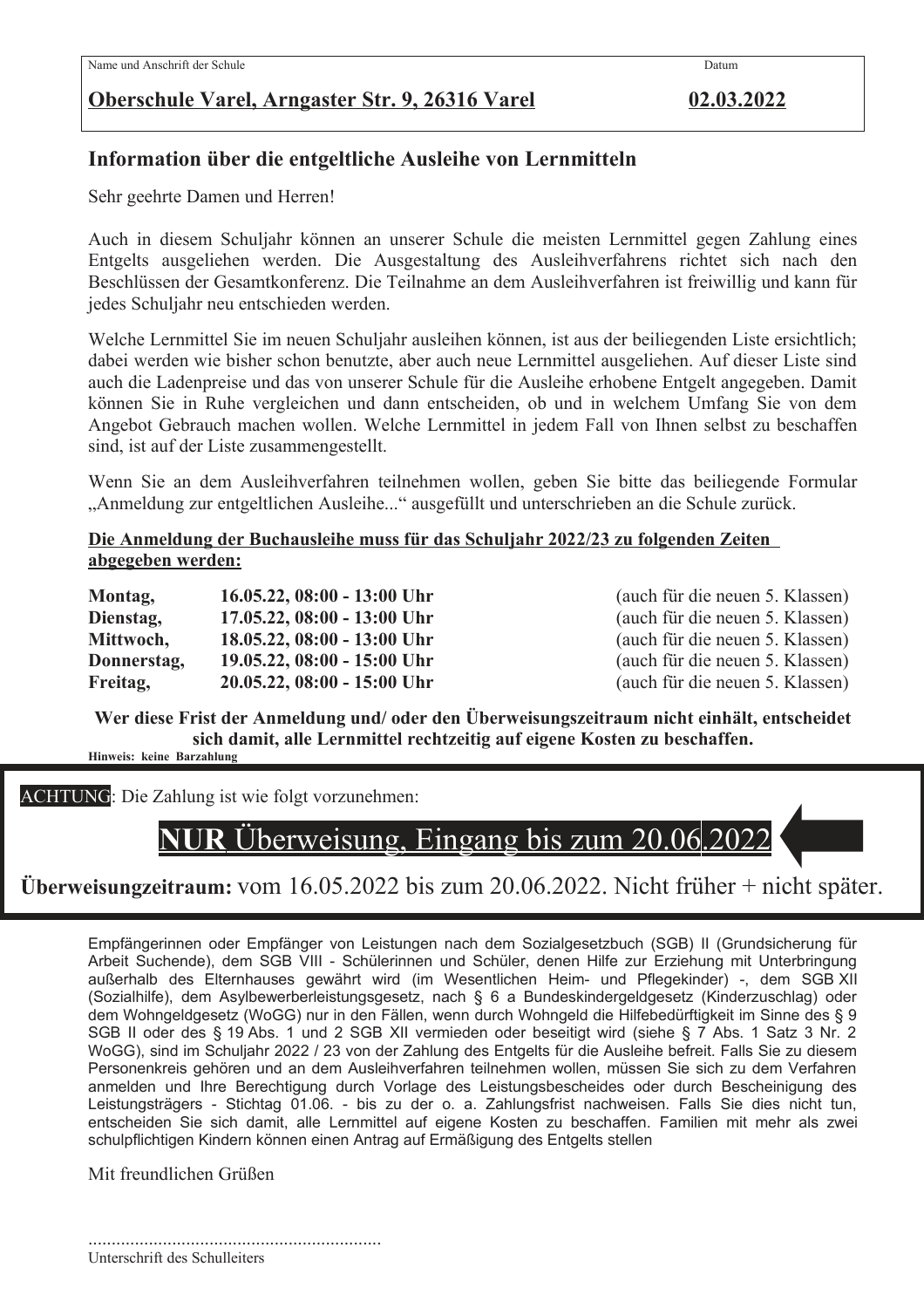# Oberschule Varel, Arngaster Str. 9, 26316 Varel

02.03.2022

Datum

# Information über die entgeltliche Ausleihe von Lernmitteln

Sehr geehrte Damen und Herren!

Auch in diesem Schuljahr können an unserer Schule die meisten Lernmittel gegen Zahlung eines Entgelts ausgeliehen werden. Die Ausgestaltung des Ausleihverfahrens richtet sich nach den Beschlüssen der Gesamtkonferenz. Die Teilnahme an dem Ausleihverfahren ist freiwillig und kann für jedes Schuljahr neu entschieden werden.

Welche Lernmittel Sie im neuen Schuljahr ausleihen können, ist aus der beiliegenden Liste ersichtlich; dabei werden wie bisher schon benutzte, aber auch neue Lernmittel ausgeliehen. Auf dieser Liste sind auch die Ladenpreise und das von unserer Schule für die Ausleihe erhobene Entgelt angegeben. Damit können Sie in Ruhe vergleichen und dann entscheiden, ob und in welchem Umfang Sie von dem Angebot Gebrauch machen wollen. Welche Lernmittel in jedem Fall von Ihnen selbst zu beschaffen sind, ist auf der Liste zusammengestellt.

Wenn Sie an dem Ausleihverfahren teilnehmen wollen, geben Sie bitte das beiliegende Formular "Anmeldung zur entgeltlichen Ausleihe..." ausgefüllt und unterschrieben an die Schule zurück.

#### Die Anmeldung der Buchausleihe muss für das Schuljahr 2022/23 zu folgenden Zeiten abgegeben werden:

| Montag,     | $16.05.22$ , $08:00 - 13:00$ Uhr |
|-------------|----------------------------------|
| Dienstag,   | 17.05.22, 08:00 - 13:00 Uhr      |
| Mittwoch,   | 18.05.22, 08:00 - 13:00 Uhr      |
| Donnerstag, | 19.05.22, 08:00 - 15:00 Uhr      |
| Freitag,    | 20.05.22, 08:00 - 15:00 Uhr      |

(auch für die neuen 5. Klassen) (auch für die neuen 5. Klassen) (auch für die neuen 5. Klassen) (auch für die neuen 5. Klassen) (auch für die neuen 5. Klassen)

Wer diese Frist der Anmeldung und/ oder den Überweisungszeitraum nicht einhält, entscheidet sich damit, alle Lernmittel rechtzeitig auf eigene Kosten zu beschaffen. Hinweis: keine Barzahlung

**ACHTUNG:** Die Zahlung ist wie folgt vorzunehmen:



# Überweisungzeitraum: vom 16.05.2022 bis zum 20.06.2022. Nicht früher + nicht später.

Empfängerinnen oder Empfänger von Leistungen nach dem Sozialgesetzbuch (SGB) II (Grundsicherung für Arbeit Suchende), dem SGB VIII - Schülerinnen und Schüler, denen Hilfe zur Erziehung mit Unterbringung außerhalb des Elternhauses gewährt wird (im Wesentlichen Heim- und Pflegekinder) -, dem SGB XII (Sozialhilfe), dem Asylbewerberleistungsgesetz, nach § 6 a Bundeskindergeldgesetz (Kinderzuschlag) oder dem Wohngeldgesetz (WoGG) nur in den Fällen, wenn durch Wohngeld die Hilfebedürftigkeit im Sinne des § 9 SGB II oder des § 19 Abs. 1 und 2 SGB XII vermieden oder beseitigt wird (siehe § 7 Abs. 1 Satz 3 Nr. 2 WoGG), sind im Schuljahr 2022 / 23 von der Zahlung des Entgelts für die Ausleihe befreit. Falls Sie zu diesem Personenkreis gehören und an dem Ausleihverfahren teilnehmen wollen, müssen Sie sich zu dem Verfahren anmelden und Ihre Berechtigung durch Vorlage des Leistungsbescheides oder durch Bescheinigung des Leistungsträgers - Stichtag 01.06. - bis zu der o. a. Zahlungsfrist nachweisen. Falls Sie dies nicht tun, entscheiden Sie sich damit, alle Lernmittel auf eigene Kosten zu beschaffen. Familien mit mehr als zwei schulpflichtigen Kindern können einen Antrag auf Ermäßigung des Entgelts stellen

Mit freundlichen Grüßen

Unterschrift des Schulleiters